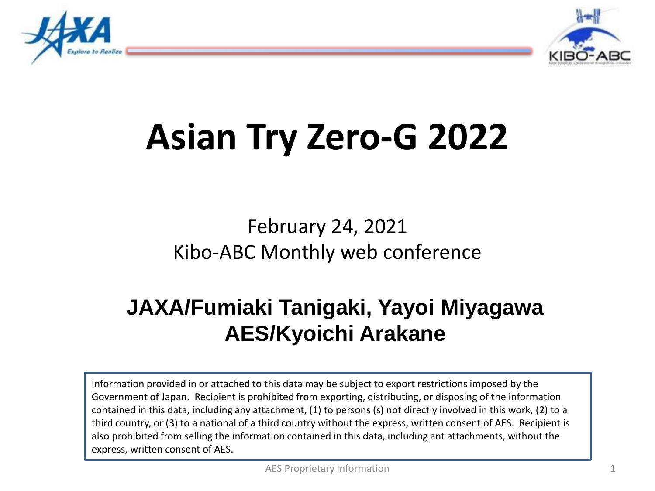



# **Asian Try Zero-G 2022**

February 24, 2021 Kibo-ABC Monthly web conference

### **JAXA/Fumiaki Tanigaki, Yayoi Miyagawa AES/Kyoichi Arakane**

Information provided in or attached to this data may be subject to export restrictions imposed by the Government of Japan. Recipient is prohibited from exporting, distributing, or disposing of the information contained in this data, including any attachment, (1) to persons (s) not directly involved in this work, (2) to a third country, or (3) to a national of a third country without the express, written consent of AES. Recipient is also prohibited from selling the information contained in this data, including ant attachments, without the express, written consent of AES.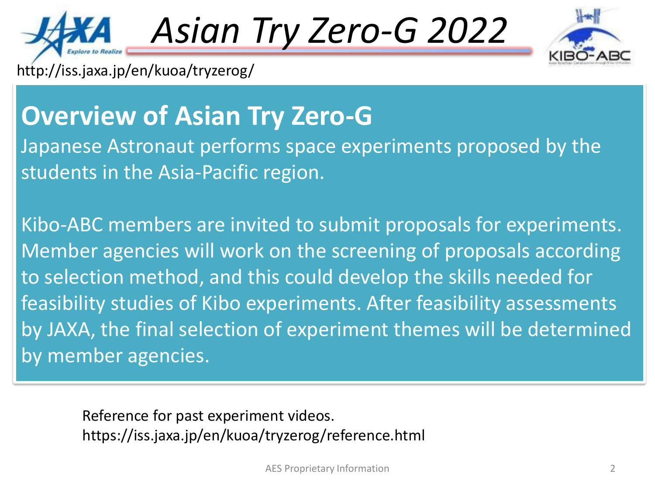

*Asian Try Zero-G 2022*



http://iss.jaxa.jp/en/kuoa/tryzerog/

## **Overview of Asian Try Zero-G**

Japanese Astronaut performs space experiments proposed by the students in the Asia-Pacific region.

Kibo-ABC members are invited to submit proposals for experiments. Member agencies will work on the screening of proposals according to selection method, and this could develop the skills needed for feasibility studies of Kibo experiments. After feasibility assessments by JAXA, the final selection of experiment themes will be determined by member agencies.

Reference for past experiment videos. https://iss.jaxa.jp/en/kuoa/tryzerog/reference.html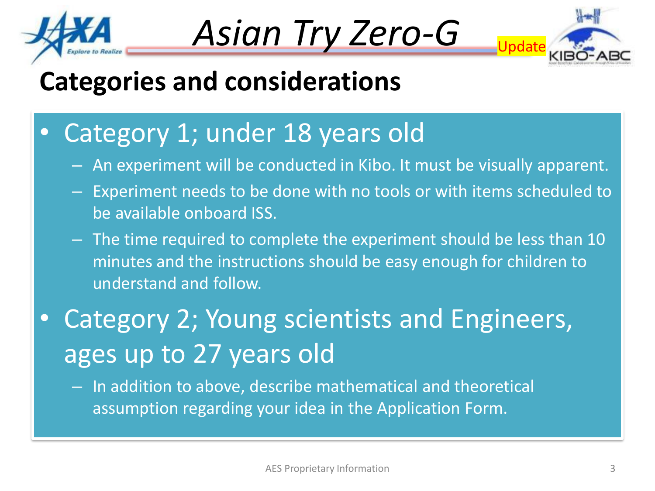





## **Categories and considerations**

- Category 1; under 18 years old
	- An experiment will be conducted in Kibo. It must be visually apparent.
	- Experiment needs to be done with no tools or with items scheduled to be available onboard ISS.
	- The time required to complete the experiment should be less than 10 minutes and the instructions should be easy enough for children to understand and follow.
- Category 2; Young scientists and Engineers, ages up to 27 years old
	- In addition to above, describe mathematical and theoretical assumption regarding your idea in the Application Form.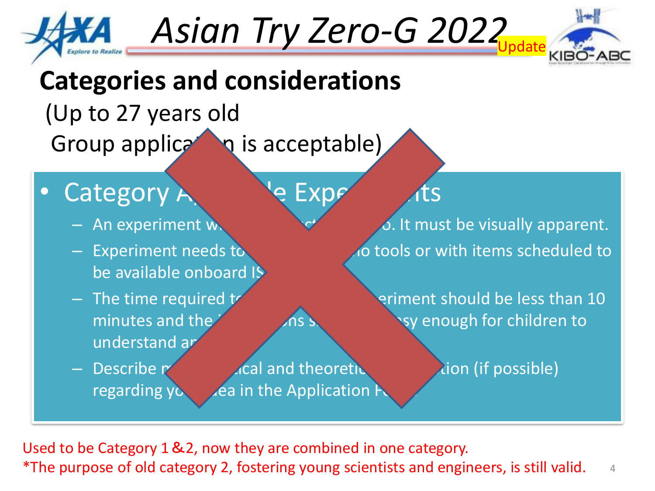

Asian Try Zero-G 2022



## **Categories and considerations**

## (Up to 27 years old Group application is acceptable)

### Category A<sub>11111</sub> Pe Expe

- 
- be available onboard IS
- understand an
- 

– Describe mathematical and theoretic assumption (if possible) regarding  $y_0$  dea in the Application

An experiment will be conducted in the conduction of the conduction of the visually apparent. – Experiment needs to be done with items scheduled to

 $-$  The time required to complete the experiment should be less than 10 minutes and the instructions showled be easy enough for children to

4 Used to be Category 1&2, now they are combined in one category. \*The purpose of old category 2, fostering young scientists and engineers, is still valid.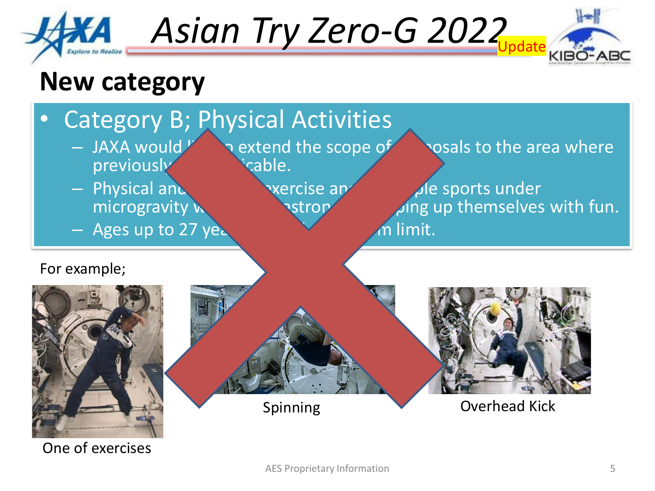

Asian Try Zero-G 2022



### **New category**

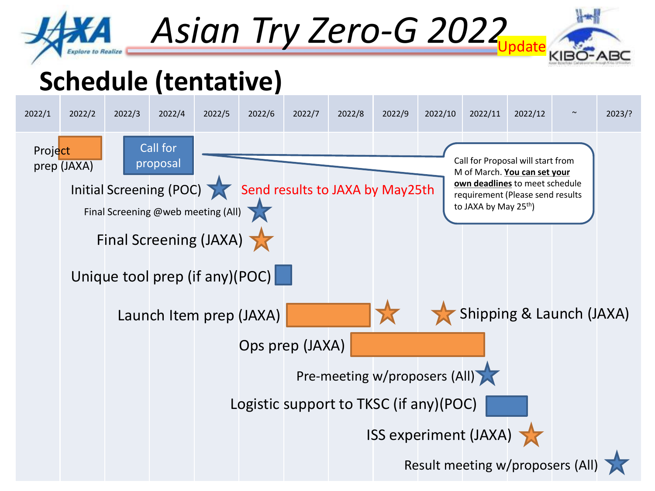

Asian Try Zero-G 2022



## **Schedule (tentative)**

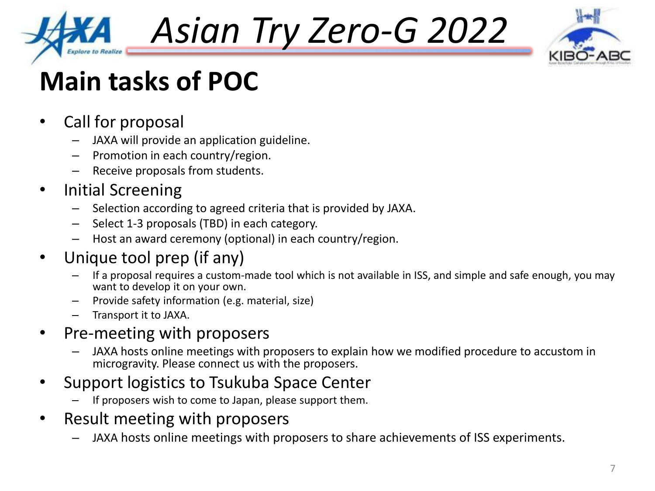

*Asian Try Zero-G 2022*



## **Main tasks of POC**

- Call for proposal
	- JAXA will provide an application guideline.
	- Promotion in each country/region.
	- Receive proposals from students.

### • Initial Screening

- Selection according to agreed criteria that is provided by JAXA.
- Select 1-3 proposals (TBD) in each category.
- Host an award ceremony (optional) in each country/region.

### • Unique tool prep (if any)

- If a proposal requires a custom-made tool which is not available in ISS, and simple and safe enough, you may want to develop it on your own.
- Provide safety information (e.g. material, size)
- Transport it to JAXA.

### • Pre-meeting with proposers

- JAXA hosts online meetings with proposers to explain how we modified procedure to accustom in microgravity. Please connect us with the proposers.
- Support logistics to Tsukuba Space Center
	- If proposers wish to come to Japan, please support them.
- Result meeting with proposers
	- JAXA hosts online meetings with proposers to share achievements of ISS experiments.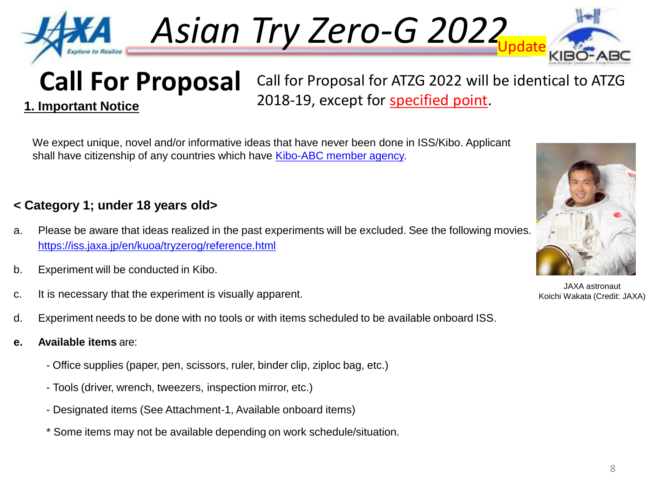

**1. Important Notice**

Asian Try Zero-G 2022



**Call For Proposal**

Call for Proposal for ATZG 2022 will be identical to ATZG 2018-19, except for specified point.

We expect unique, novel and/or informative ideas that have never been done in ISS/Kibo. Applicant shall have citizenship of any countries which have [Kibo-ABC member agency.](http://www.aprsaf.org/initiatives/kibo_abc/)

### **< Category 1; under 18 years old>**

- a. Please be aware that ideas realized in the past experiments will be excluded. See the following movies. <https://iss.jaxa.jp/en/kuoa/tryzerog/reference.html>
- b. Experiment will be conducted in Kibo.
- c. It is necessary that the experiment is visually apparent.
- d. Experiment needs to be done with no tools or with items scheduled to be available onboard ISS.
- **e. Available items** are:
	- Office supplies (paper, pen, scissors, ruler, binder clip, ziploc bag, etc.)
	- Tools (driver, wrench, tweezers, inspection mirror, etc.)
	- Designated items (See Attachment-1, Available onboard items)
	- \* Some items may not be available depending on work schedule/situation.



JAXA astronaut Koichi Wakata (Credit: JAXA)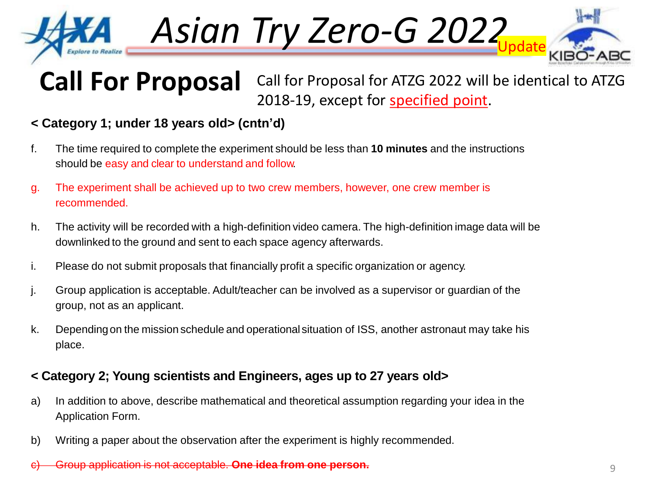

Asian Try Zero-G 2022



#### **Call For Proposal** Call for Proposal for ATZG 2022 will be identical to ATZG 2018-19, except for specified point.

### **< Category 1; under 18 years old> (cntn'd)**

- f. The time required to complete the experiment should be less than **10 minutes** and the instructions should be easy and clear to understand and follow.
- g. The experiment shall be achieved up to two crew members, however, one crew member is recommended.
- h. The activity will be recorded with a high-definition video camera. The high-definition image data will be downlinked to the ground and sent to each space agency afterwards.
- i. Please do not submit proposals that financially profit a specific organization or agency.
- j. Group application is acceptable. Adult/teacher can be involved as a supervisor or guardian of the group, not as an applicant.
- k. Dependingon the mission schedule and operational situation of ISS, another astronaut may take his place.

#### **< Category 2; Young scientists and Engineers, ages up to 27 years old>**

- a) In addition to above, describe mathematical and theoretical assumption regarding your idea in the Application Form.
- b) Writing a paper about the observation after the experiment is highly recommended.
- c) Group application is not acceptable. **One idea from one person.**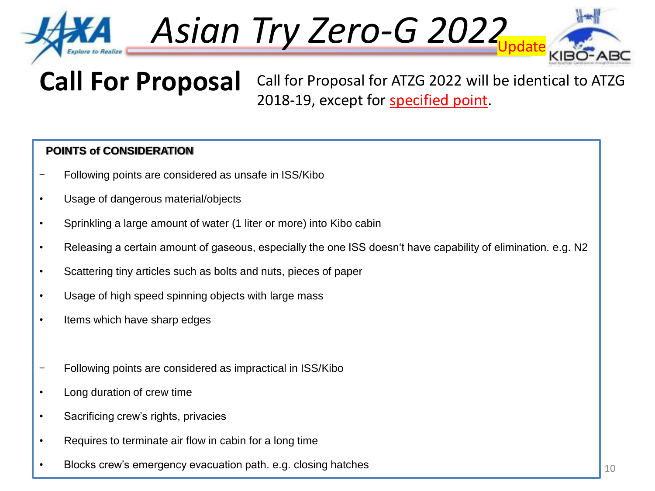

Asian Try Zero-G 2022



**Call For Proposal** Call for Proposal for ATZG 2022 will be identical to ATZG 2018-19, except for specified point.

#### **POINTS of CONSIDERATION**

- Following points are considered as unsafe in ISS/Kibo
- Usage of dangerous material/objects
- Sprinkling a large amount of water (1 liter or more) into Kibo cabin
- Releasing a certain amount of gaseous, especially the one ISS doesn't have capability of elimination. e.g. N2
- Scattering tiny articles such as bolts and nuts, pieces of paper
- Usage of high speed spinning objects with large mass
- Items which have sharp edges
- Following points are considered as impractical in ISS/Kibo
- Long duration of crew time
- Sacrificing crew's rights, privacies
- Requires to terminate air flow in cabin for a long time
- Blocks crew's emergency evacuation path. e.g. closing hatches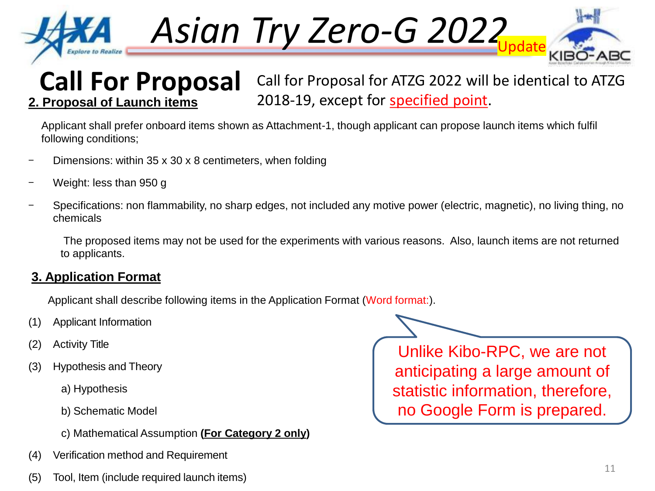

Asian Try Zero-G 2022



#### **Call For Proposal** Call for Proposal for ATZG 2022 will be identical to ATZG 2018-19, except for specified point. **2. Proposal of Launch items**

Applicant shall prefer onboard items shown as Attachment-1, though applicant can propose launch items which fulfil following conditions;

- Dimensions: within  $35 \times 30 \times 8$  centimeters, when folding
- Weight: less than 950 g
- Specifications: non flammability, no sharp edges, not included any motive power (electric, magnetic), no living thing, no chemicals

The proposed items may not be used for the experiments with various reasons. Also, launch items are not returned to applicants.

### **3. Application Format**

Applicant shall describe following items in the Application Format (Word format:).

- (1) Applicant Information
- (2) Activity Title
- (3) Hypothesis and Theory
	- a) Hypothesis
	- b) Schematic Model
	- c) Mathematical Assumption **(For Category 2 only)**
- (4) Verification method and Requirement
- (5) Tool, Item (include required launch items)

Unlike Kibo-RPC, we are not anticipating a large amount of statistic information, therefore, no Google Form is prepared.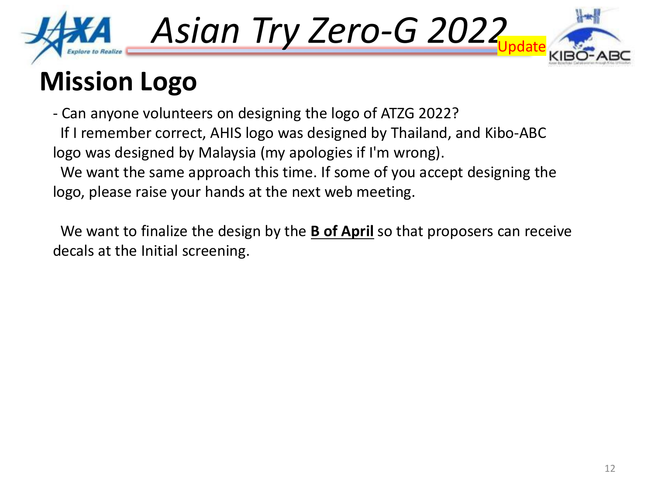

Asian Try Zero-G 2022



## **Mission Logo**

- Can anyone volunteers on designing the logo of ATZG 2022? If I remember correct, AHIS logo was designed by Thailand, and Kibo-ABC logo was designed by Malaysia (my apologies if I'm wrong). We want the same approach this time. If some of you accept designing the logo, please raise your hands at the next web meeting.

We want to finalize the design by the **B of April** so that proposers can receive decals at the Initial screening.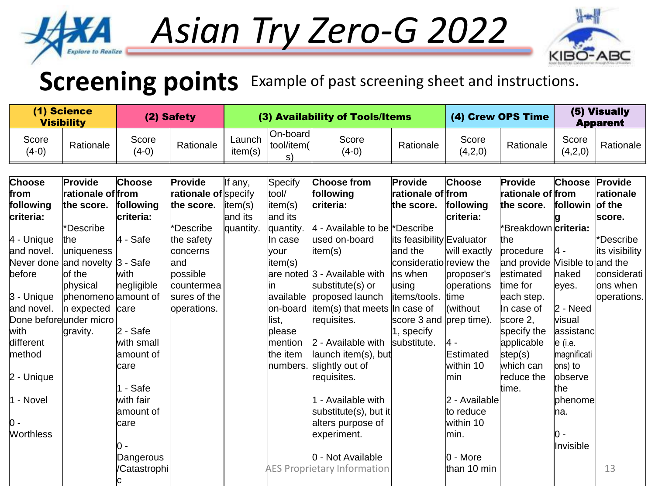# *Asian Try Zero-G 2022*



## **Screening points** Example of past screening sheet and instructions.

Explore

| (1) Science<br><b>Visibility</b> |                                 | (2) Safety             |                             | (3) Availability of Tools/Items |                              |                                    |                           | (4) Crew OPS Time       |                                | (5) Visually<br><b>Apparent</b> |                |
|----------------------------------|---------------------------------|------------------------|-----------------------------|---------------------------------|------------------------------|------------------------------------|---------------------------|-------------------------|--------------------------------|---------------------------------|----------------|
| Score<br>$(4-0)$                 | Rationale                       | Score<br>$(4-0)$       | Rationale                   | Launch<br>item(s)               | On-board<br>tool/item(<br>s) | Score<br>$(4-0)$                   | Rationale                 | Score<br>(4,2,0)        | Rationale                      | Score<br>(4,2,0)                | Rationale      |
| <b>Choose</b>                    | Provide                         | <b>Choose</b>          | Provide                     |                                 | Specify                      | <b>Choose from</b>                 | Provide                   | Choose                  | Provide                        | <b>Choose</b>                   | Provide        |
| from                             | rationale of from               |                        | <b>rationale of</b> specify | If any,                         | tool/                        | following                          | rationale of from         |                         | rationale of from              |                                 | rationale      |
| following                        |                                 |                        |                             |                                 |                              |                                    |                           |                         |                                | followin                        | of the         |
| criteria:                        | the score.                      | following<br>criteria: | the score.                  | item(s)<br>and its              | item(s)<br>and its           | criteria:                          | the score.                | following<br> criteria: | the score.                     |                                 |                |
|                                  | *Describe                       |                        | *Describe                   |                                 |                              | $ 4$ - Available to be *Describe   |                           |                         | *Breakdown <i>criteria</i> :   |                                 | score.         |
| 4 - Unique                       | the                             | $4 - Safe$             | the safety                  | quantity.                       | quantity.<br>In case         | used on-board                      | its feasibility Evaluator |                         | lthe                           |                                 | *Describe      |
| and novel.                       | uniqueness                      |                        | concerns                    |                                 | <b>vour</b>                  | item(s)                            | and the                   | will exactly            | procedure                      | <b>4</b> -                      | its visibility |
|                                  | Never done and novelty 3 - Safe |                        | and                         |                                 | item(s)                      |                                    | consideratio review the   |                         | and provide Visible to and the |                                 |                |
| before                           | of the                          | lwith                  | possible                    |                                 |                              | are noted 3 - Available with       | ns when                   | proposer's              | estimated                      | naked                           | considerati    |
|                                  | physical                        | negligible             | countermea                  |                                 |                              | substitute(s) or                   | using                     | operations              | time for                       | leyes.                          | ons when       |
| 3 - Unique                       | phenomeno amount of             |                        | sures of the                |                                 | available                    | proposed launch                    | items/tools.              | ltime                   | each step.                     |                                 | operations.    |
| and novel.                       | n expected                      | care                   | operations.                 |                                 | on-board                     | $item(s)$ that meets In case of    |                           | (without                | In case of                     | $2 - Need$                      |                |
| Done beforeunder micro           |                                 |                        |                             |                                 | list,                        | requisites.                        | score 3 and prep time).   |                         | score 2,                       | visual                          |                |
| with                             | gravity.                        | 2 - Safe               |                             |                                 | please                       |                                    | 1, specify                |                         | specify the                    | assistanc                       |                |
| different                        |                                 | with small             |                             |                                 | mention                      | $ 2$ - Available with              | substitute.               | l4 -                    | applicable                     | $e$ (i.e.                       |                |
| method                           |                                 | amount of              |                             |                                 | the item                     | launch item(s), but                |                           | Estimated               | step(s)                        | magnificati                     |                |
|                                  |                                 | care                   |                             |                                 | numbers.                     | slightly out of                    |                           | within 10               | which can                      | $ons)$ to                       |                |
| 2 - Unique                       |                                 |                        |                             |                                 |                              | requisites.                        |                           | lmin                    | reduce the                     | lobserve                        |                |
|                                  |                                 | 1 - Safe               |                             |                                 |                              |                                    |                           |                         | time.                          | the                             |                |
| 1 - Novel                        |                                 | with fair              |                             |                                 |                              | 1 - Available with                 |                           | 2 - Available           |                                | phenome                         |                |
|                                  |                                 | amount of              |                             |                                 |                              | substitute(s), but it              |                           | to reduce               |                                | Ina.                            |                |
| Ю-                               |                                 | lcare                  |                             |                                 |                              | alters purpose of                  |                           | within 10               |                                |                                 |                |
| <b>Worthless</b>                 |                                 |                        |                             |                                 |                              | experiment.                        |                           | lmin.                   |                                | lo -                            |                |
|                                  |                                 | ი -                    |                             |                                 |                              |                                    |                           |                         |                                | Invisible                       |                |
|                                  |                                 | Dangerous              |                             |                                 |                              | 0 - Not Available                  |                           | l0 - More               |                                |                                 |                |
|                                  |                                 | /Catastrophi           |                             |                                 |                              | <b>AES Proprietary Information</b> |                           | than 10 min             |                                |                                 | 13             |
|                                  |                                 |                        |                             |                                 |                              |                                    |                           |                         |                                |                                 |                |